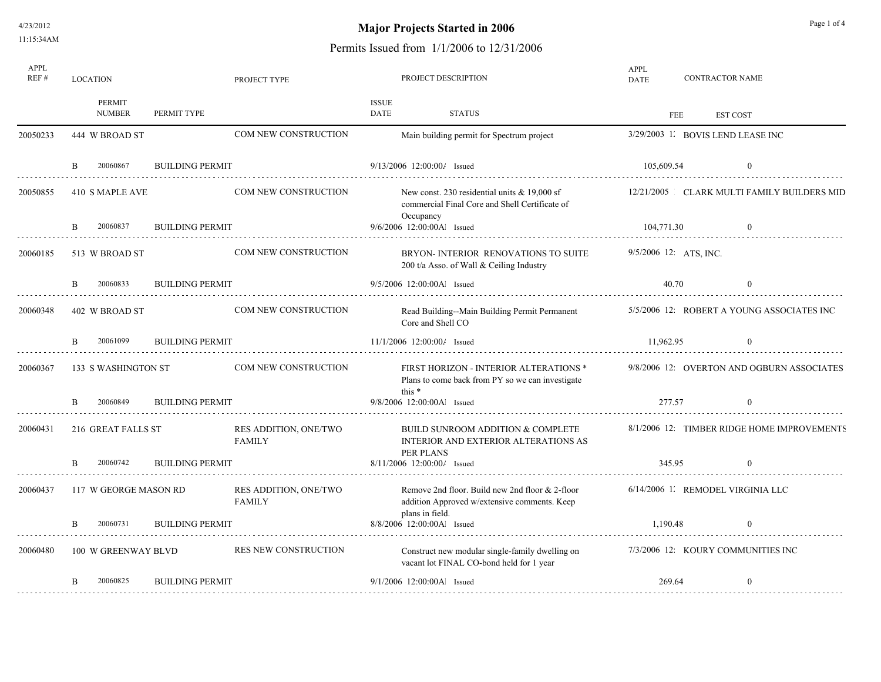4/23/2012 11:15:34AM

# **Major Projects Started in 2006** Page 1 of 4

| APPL<br>REF# | <b>LOCATION</b>          | PROJECT TYPE           | PROJECT DESCRIPTION                    |                      |                                                                                                               |                          | <b>CONTRACTOR NAME</b> |                                             |
|--------------|--------------------------|------------------------|----------------------------------------|----------------------|---------------------------------------------------------------------------------------------------------------|--------------------------|------------------------|---------------------------------------------|
|              | PERMIT<br><b>NUMBER</b>  | PERMIT TYPE            |                                        | <b>ISSUE</b><br>DATE | <b>STATUS</b>                                                                                                 |                          | FEE                    | <b>EST COST</b>                             |
| 20050233     | 444 W BROAD ST           |                        | <b>COM NEW CONSTRUCTION</b>            |                      | Main building permit for Spectrum project                                                                     |                          |                        | 3/29/2003 1. BOVIS LEND LEASE INC           |
|              | 20060867<br><sup>B</sup> | <b>BUILDING PERMIT</b> |                                        |                      | 9/13/2006 12:00:00/ Issued                                                                                    | 105,609.54               |                        | $\bf{0}$                                    |
| 20050855     | 410 S MAPLE AVE          |                        | <b>COM NEW CONSTRUCTION</b>            |                      | New const. 230 residential units $& 19,000$ sf<br>commercial Final Core and Shell Certificate of<br>Occupancy |                          |                        | 12/21/2005 CLARK MULTI FAMILY BUILDERS MID  |
|              | 20060837<br>B            | <b>BUILDING PERMIT</b> |                                        |                      | 9/6/2006 12:00:00Al Issued                                                                                    | 104,771.30               |                        | $\theta$                                    |
| 20060185     | 513 W BROAD ST           |                        | COM NEW CONSTRUCTION                   |                      | BRYON-INTERIOR RENOVATIONS TO SUITE<br>200 t/a Asso. of Wall & Ceiling Industry                               | $9/5/2006$ 12: ATS, INC. |                        |                                             |
|              | 20060833<br>B.           | <b>BUILDING PERMIT</b> |                                        |                      | 9/5/2006 12:00:00Al Issued                                                                                    | 40.70                    |                        | $\Omega$                                    |
| 20060348     | 402 W BROAD ST           |                        | COM NEW CONSTRUCTION                   |                      | Read Building--Main Building Permit Permanent<br>Core and Shell CO                                            |                          |                        | 5/5/2006 12: ROBERT A YOUNG ASSOCIATES INC  |
|              | 20061099                 | <b>BUILDING PERMIT</b> |                                        |                      | 11/1/2006 12:00:00/ Issued                                                                                    | 11,962.95                |                        | $\Omega$                                    |
| 20060367     | 133 S WASHINGTON ST      |                        | COM NEW CONSTRUCTION                   | this $*$             | FIRST HORIZON - INTERIOR ALTERATIONS *<br>Plans to come back from PY so we can investigate                    |                          |                        | 9/8/2006 12: OVERTON AND OGBURN ASSOCIATES  |
|              | 20060849                 | <b>BUILDING PERMIT</b> |                                        |                      | 9/8/2006 12:00:00Al Issued                                                                                    | 277.57                   |                        |                                             |
| 20060431     | 216 GREAT FALLS ST       |                        | RES ADDITION, ONE/TWO<br><b>FAMILY</b> |                      | BUILD SUNROOM ADDITION & COMPLETE<br>INTERIOR AND EXTERIOR ALTERATIONS AS<br>PER PLANS                        |                          |                        | 8/1/2006 12: TIMBER RIDGE HOME IMPROVEMENTS |
|              | 20060742<br><sup>B</sup> | <b>BUILDING PERMIT</b> |                                        |                      | 8/11/2006 12:00:00/ Issued                                                                                    | 345.95                   |                        | $\theta$                                    |
| 20060437     | 117 W GEORGE MASON RD    |                        | RES ADDITION, ONE/TWO<br><b>FAMILY</b> |                      | Remove 2nd floor. Build new 2nd floor & 2-floor<br>addition Approved w/extensive comments. Keep               |                          |                        | 6/14/2006 1. REMODEL VIRGINIA LLC           |
|              | 20060731                 | <b>BUILDING PERMIT</b> |                                        |                      | plans in field.<br>8/8/2006 12:00:00Al Issued                                                                 | 1.190.48                 |                        | $\Omega$                                    |
| 20060480     | 100 W GREENWAY BLVD      |                        | RES NEW CONSTRUCTION                   |                      | Construct new modular single-family dwelling on<br>vacant lot FINAL CO-bond held for 1 year                   |                          |                        | 7/3/2006 12 KOURY COMMUNITIES INC           |
|              | 20060825<br><sub>R</sub> | <b>BUILDING PERMIT</b> |                                        |                      | 9/1/2006 12:00:00Al Issued                                                                                    | 269.64                   |                        | $\theta$                                    |
|              |                          |                        |                                        |                      |                                                                                                               |                          |                        |                                             |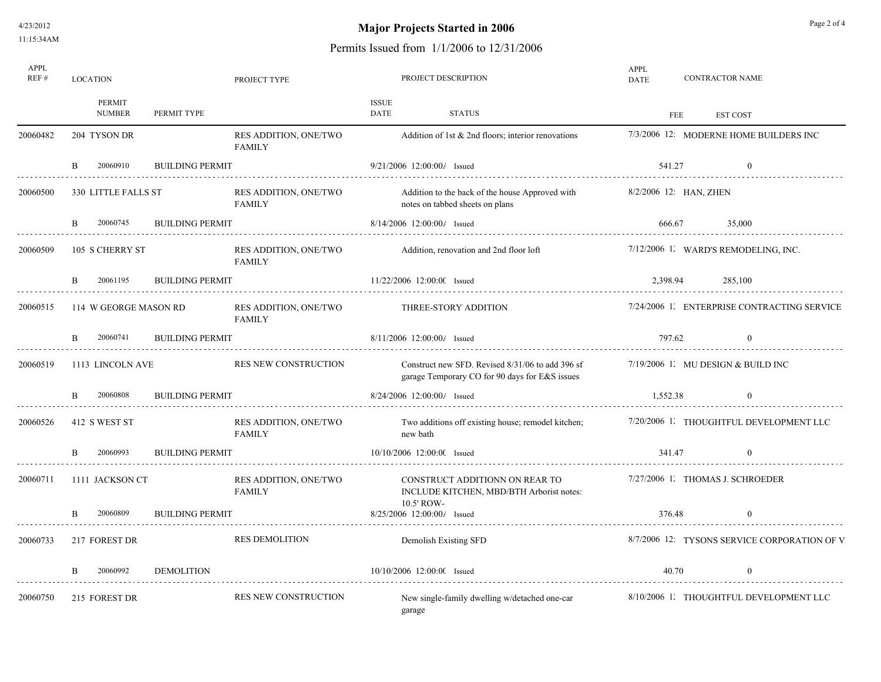4/23/2012 11:15:34AM

# **Major Projects Started in 2006** Page 2 of 4

| APPL<br>REF# | <b>LOCATION</b>          |                        | PROJECT TYPE                           |                      | PROJECT DESCRIPTION                                                                                | APPL<br><b>DATE</b> |          | <b>CONTRACTOR NAME</b>                        |
|--------------|--------------------------|------------------------|----------------------------------------|----------------------|----------------------------------------------------------------------------------------------------|---------------------|----------|-----------------------------------------------|
|              | PERMIT<br><b>NUMBER</b>  | PERMIT TYPE            |                                        | <b>ISSUE</b><br>DATE | <b>STATUS</b>                                                                                      |                     | FEE      | <b>EST COST</b>                               |
| 20060482     | 204 TYSON DR             |                        | RES ADDITION, ONE/TWO<br><b>FAMILY</b> |                      | Addition of 1st $\&$ 2nd floors; interior renovations                                              |                     |          | 7/3/2006 12: MODERNE HOME BUILDERS INC        |
|              | 20060910<br>B.           | <b>BUILDING PERMIT</b> |                                        |                      | 9/21/2006 12:00:00/ Issued                                                                         |                     | 541.27   | $\Omega$                                      |
| 20060500     | 330 LITTLE FALLS ST      |                        | RES ADDITION, ONE/TWO<br><b>FAMILY</b> |                      | Addition to the back of the house Approved with<br>notes on tabbed sheets on plans                 |                     |          | 8/2/2006 12 HAN, ZHEN                         |
|              | 20060745                 | <b>BUILDING PERMIT</b> |                                        |                      | 8/14/2006 12:00:00/ Issued                                                                         |                     | 666.67   | 35,000<br>.                                   |
| 20060509     | 105 S CHERRY ST          |                        | RES ADDITION, ONE/TWO<br><b>FAMILY</b> |                      | Addition, renovation and 2nd floor loft                                                            |                     |          | 7/12/2006 1. WARD'S REMODELING, INC.          |
|              | 20061195                 | <b>BUILDING PERMIT</b> |                                        |                      | 11/22/2006 12:00:00 Issued                                                                         |                     | 2.398.94 | 285,100                                       |
| 20060515     | 114 W GEORGE MASON RD    |                        | RES ADDITION, ONE/TWO<br><b>FAMILY</b> |                      | THREE-STORY ADDITION                                                                               |                     |          | 7/24/2006 1. ENTERPRISE CONTRACTING SERVICE   |
|              | 20060741<br><sub>B</sub> | <b>BUILDING PERMIT</b> |                                        |                      | 8/11/2006 12:00:00/ Issued                                                                         |                     | 797.62   | $\theta$                                      |
| 20060519     | 1113 LINCOLN AVE         |                        | RES NEW CONSTRUCTION                   |                      | Construct new SFD. Revised 8/31/06 to add 396 sf<br>garage Temporary CO for 90 days for E&S issues |                     |          | $7/19/2006$ 1. MU DESIGN & BUILD INC          |
|              | 20060808                 | <b>BUILDING PERMIT</b> |                                        |                      | 8/24/2006 12:00:00/ Issued                                                                         |                     | 1.552.38 | $\Omega$                                      |
| 20060526     | 412 S WEST ST            |                        | RES ADDITION, ONE/TWO<br><b>FAMILY</b> |                      | Two additions off existing house; remodel kitchen;<br>new bath                                     |                     |          | 7/20/2006 1. THOUGHTFUL DEVELOPMENT LLC       |
|              | 20060993                 | <b>BUILDING PERMIT</b> |                                        |                      | 10/10/2006 12:00:00 Issued                                                                         |                     | 341.47   | $\theta$                                      |
| 20060711     | 1111 JACKSON CT          |                        | RES ADDITION, ONE/TWO<br><b>FAMILY</b> |                      | CONSTRUCT ADDITIONN ON REAR TO<br>INCLUDE KITCHEN, MBD/BTH Arborist notes:                         |                     |          | 7/27/2006 1. THOMAS J. SCHROEDER              |
|              | 20060809                 | <b>BUILDING PERMIT</b> |                                        |                      | 10.5' ROW-<br>$8/25/2006$ 12:00:00/ Issued                                                         |                     | 376.48   |                                               |
| 20060733     | 217 FOREST DR            |                        | <b>RES DEMOLITION</b>                  |                      | Demolish Existing SFD                                                                              |                     |          | 8/7/2006 12: TYSONS SERVICE CORPORATION OF V. |
|              | 20060992                 | <b>DEMOLITION</b>      |                                        |                      | 10/10/2006 12:00:00 Issued                                                                         |                     | 40.70    |                                               |
| 20060750     | 215 FOREST DR            |                        | RES NEW CONSTRUCTION                   |                      | New single-family dwelling w/detached one-car<br>garage                                            |                     |          | 8/10/2006 1. THOUGHTFUL DEVELOPMENT LLC       |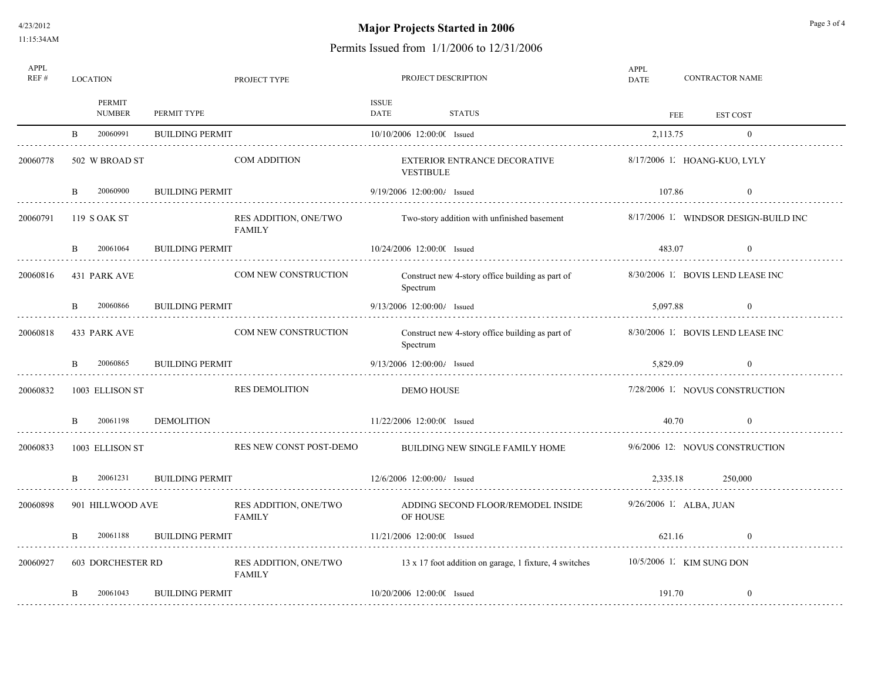# **Major Projects Started in 2006** Page 3 of 4

| APPL<br>REF#  | LOCATION<br>PROJECT TYPE |                          |                        |                                        | PROJECT DESCRIPTION |                                |                                                        |                           | APPL<br><b>CONTRACTOR NAME</b><br><b>DATE</b> |                                       |  |  |  |
|---------------|--------------------------|--------------------------|------------------------|----------------------------------------|---------------------|--------------------------------|--------------------------------------------------------|---------------------------|-----------------------------------------------|---------------------------------------|--|--|--|
|               |                          | PERMIT<br><b>NUMBER</b>  | PERMIT TYPE            |                                        | ISSUE<br>DATE       |                                | STATUS                                                 |                           | FEE                                           | EST COST                              |  |  |  |
| .             | B.                       | 20060991                 | <b>BUILDING PERMIT</b> |                                        |                     | 10/10/2006 12:00:00 Issued     |                                                        | 2,113.75                  |                                               | $\theta$                              |  |  |  |
| 20060778      |                          | 502 W BROAD ST           |                        | <b>COM ADDITION</b>                    |                     | <b>VESTIBULE</b>               | EXTERIOR ENTRANCE DECORATIVE                           |                           |                                               | 8/17/2006 L HOANG-KUO, LYLY           |  |  |  |
|               | <sub>B</sub>             | 20060900                 | <b>BUILDING PERMIT</b> |                                        |                     | 9/19/2006 12:00:00/ Issued     |                                                        | 107.86                    |                                               | $\theta$                              |  |  |  |
| 20060791      |                          | 119 S OAK ST             |                        | RES ADDITION, ONE/TWO<br><b>FAMILY</b> |                     |                                | Two-story addition with unfinished basement            |                           |                                               | 8/17/2006 1. WINDSOR DESIGN-BUILD INC |  |  |  |
| .             | B.                       | 20061064                 | <b>BUILDING PERMIT</b> |                                        |                     | 10/24/2006 12:00:00 Issued     |                                                        | 483.07                    |                                               | $\theta$                              |  |  |  |
| 20060816      |                          | 431 PARK AVE             |                        | <b>COM NEW CONSTRUCTION</b>            |                     | Spectrum                       | Construct new 4-story office building as part of       |                           |                                               | 8/30/2006 1. BOVIS LEND LEASE INC     |  |  |  |
| .             | B.                       | 20060866                 | <b>BUILDING PERMIT</b> |                                        |                     | $9/13/2006$ 12:00:00/ Issued   |                                                        | 5,097.88                  |                                               | $\theta$                              |  |  |  |
| 20060818      |                          | 433 PARK AVE             |                        | <b>COM NEW CONSTRUCTION</b>            |                     | Spectrum                       | Construct new 4-story office building as part of       |                           |                                               | 8/30/2006 1. BOVIS LEND LEASE INC     |  |  |  |
| .             | B.                       | 20060865                 | <b>BUILDING PERMIT</b> |                                        |                     | 9/13/2006 12:00:00/ Issued     |                                                        | 5,829.09                  |                                               | $\theta$                              |  |  |  |
| 20060832      |                          | 1003 ELLISON ST          |                        | <b>RES DEMOLITION</b>                  |                     | <b>DEMO HOUSE</b>              |                                                        |                           |                                               | 7/28/2006 1. NOVUS CONSTRUCTION       |  |  |  |
|               | $\mathbf{B}$             | 20061198                 | <b>DEMOLITION</b>      |                                        |                     | 11/22/2006 12:00:00 Issued     |                                                        |                           | 40.70                                         | $\theta$                              |  |  |  |
| 20060833      |                          | 1003 ELLISON ST          |                        | RES NEW CONST POST-DEMO                |                     |                                | BUILDING NEW SINGLE FAMILY HOME                        |                           |                                               | 9/6/2006 12: NOVUS CONSTRUCTION       |  |  |  |
|               | B.                       | 20061231                 | <b>BUILDING PERMIT</b> |                                        |                     | $12/6/2006$ $12:00:00/$ Issued |                                                        | 2.335.18                  |                                               | 250,000                               |  |  |  |
| .<br>20060898 |                          | 901 HILLWOOD AVE         |                        | RES ADDITION, ONE/TWO<br><b>FAMILY</b> |                     | <b>OF HOUSE</b>                | ADDING SECOND FLOOR/REMODEL INSIDE                     | $9/26/2006$ 1. ALBA, JUAN |                                               |                                       |  |  |  |
|               | B.                       | 20061188                 | <b>BUILDING PERMIT</b> |                                        |                     | 11/21/2006 12:00:00 Issued     |                                                        | 621.16                    |                                               | $\Omega$                              |  |  |  |
| 20060927      |                          | <b>603 DORCHESTER RD</b> |                        | RES ADDITION, ONE/TWO<br><b>FAMILY</b> |                     |                                | 13 x 17 foot addition on garage, 1 fixture, 4 switches | 10/5/2006 1. KIM SUNG DON |                                               |                                       |  |  |  |
|               | B.                       | 20061043                 | <b>BUILDING PERMIT</b> |                                        |                     | 10/20/2006 12:00:00 Issued     |                                                        | 191.70                    |                                               | $\overline{0}$                        |  |  |  |
|               |                          |                          |                        |                                        |                     |                                |                                                        |                           |                                               |                                       |  |  |  |